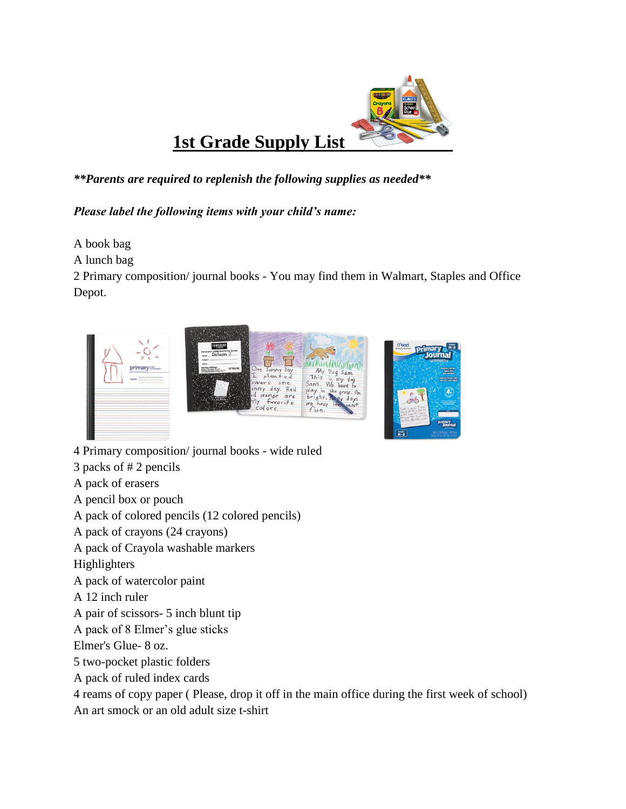

## *\*\*Parents are required to replenish the following supplies as needed\*\**

*Please label the following items with your child's name:*

A book bag

A lunch bag

2 Primary composition/ journal books - You may find them in Walmart, Staples and Office Depot.



4 Primary composition/ journal books - wide ruled

3 packs of # 2 pencils

A pack of erasers

A pencil box or pouch

A pack of colored pencils (12 colored pencils)

A pack of crayons (24 crayons)

A pack of Crayola washable markers

Highlighters

A pack of watercolor paint

A 12 inch ruler

A pair of scissors- 5 inch blunt tip

A pack of 8 Elmer's glue sticks

Elmer's Glue- 8 oz.

5 two-pocket plastic folders

A pack of ruled index cards

4 reams of copy paper ( Please, drop it off in the main office during the first week of school)

An art smock or an old adult size t-shirt